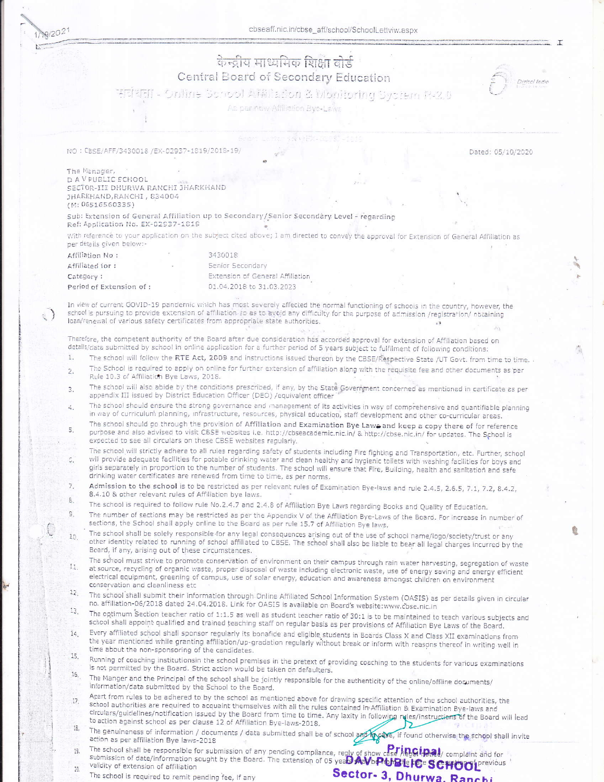cbseaff.nic.in/cbse\_aff/school/SchoolLettviw.aspx

|  | 1/19/204 |  |
|--|----------|--|
|  |          |  |
|  |          |  |

् }

## केन्द्रीय माध्यमिक शिक्षा वोर्ड Central Board of Secondary Education



सर्वेधना - Online School Affiliadon & Monitoring System R-2.0

As per now Affiliation Bye-Laws

NO : CBSE/AFF/3430018 /EX-02937-1819/2018-19/

Dated: 05/10/2020

The Manager, D A V PUBLIC SCHOOL SECTOR-III DHURWA RANCHI JHARKHAND JHARKHAND, RANCHI, 834004  $(N: 06516560335)$ 

Sub: Extension of General Affiliation up to Secondary/Senior Secondary Level - regarding Ref: Application No. EX-02937-1819

With reference to your application on the subject cited above; I am directed to convey the approval for Extension of General Affiliation as per details given below:-

| Affiliation No:         | 3430018                          |  |  |
|-------------------------|----------------------------------|--|--|
| Affiliated for:         | Senior Secondary                 |  |  |
| Category:               | Extension of General Affiliation |  |  |
| Period of Extension of: | 01.04.2018 to 31.03.2023         |  |  |

In view of current GOVID-19 pandernic which has most severely affected the normal functioning of schools in the country, however, the school is pursuing to provide extension of affiliation so as to avoid any difficulty for the purpose of admission /registration/ obtaining loan/renewal of various safety certificates from appropriate state authorities.  $\pm 3$ 

Therefore, the competent authority of the Board after due consideration has accorded approval for extension of Affiliation based on details/data submitted by school in online application for a further period of 5 years subject to fulfilment of following conditions:

- The school will follow the RTE Act, 2009 and instructions issued thereon by the CBSE/Respective State /UT Govt. from time to time.  $1.$
- The School is required to apply on online for further extension of affiliation along with the requisite fee and other documents as per  $\overline{2}$ . Rule 10.3 of Affiliation Bye Laws, 2018.
- The school will also abide by the conditions prescribed, if any, by the State Government concerned as mentioned in certificate as per 3. appendix III issued by District Education Officer (DEO) /equivalent officer
- The school should ensure the strong governance and management of its activities in way of comprehensive and quantifiable planning 4. in way of curriculum planning, infrastructure, resources, physical education, staff development and other co-curricular areas.
- The school should go through the provision of Affiliation and Examination Bye Lawe and keep a copy there of for reference  $\overline{5}$ purpose and also advised to visit CBSE websites i.e. http://cbseacademic.nic.in/ & http://cbse.nic.in/ for updates. The School is expected to see all circulars on these CBSE websites regularly.
- The school will strictly adhere to all rules regarding safety of students including Fire fighting and Transportation, etc. Further, school will provide adequate facilities for potable drinking water and clean healthy and hygienic toilets with washing facilities for boys and G. girls separately in proportion to the number of students. The school will ensure that Fire, Building, health and sanitation and safe drinking water certificates are renewed from time to time, as per norms.
- Admission to the school is to be restricted as per relevant rules of Examination Bye-laws and rule 2.4.5, 2.6.5, 7.1, 7.2, 8.4.2,  $\overline{7}$ 8.4.10 & other relevant rules of Affiliation bye laws.  $\delta$
- The school is required to follow rule No.2.4.7 and 2.4.8 of Affiliation Bye Laws regarding Books and Quality of Education.
- The number of sections may be restricted as per the Appendix V of the Affiliation Bye-Laws of the Board. For increase in number of  $\overline{S}$ sections, the School shall apply online to the Board as per rule 15.7 of Affiliation Bye laws.
- The school shall be solely responsible for any legal consequences arising out of the use of school name/logo/society/trust or any  $10$ other identity related to running of school affiliated to CBSE. The school shall also be liable to bear all legal charges incurred by the Board, if any, arising out of these circumstances.
- The school must strive to promote conservation of environment on their campus through rain water harvesting, segregation of waste at source, recycling of organic waste, proper disposal of waste including electronic waste, use of energy saving and energy efficient  $11$ electrical equipment, greening of campus, use of solar energy, education and awareness amongst children on environment conservation and cleanliness etc.
- $12<sup>2</sup>$ The school shall submit their information through Online Affiliated School Information System (OASIS) as per details given in circular no. affiliation-06/2018 dated 24.04.2018. Link for OASIS is available on Board's website:www.cbse.nic.in  $13.$
- The optimum Section teacher ratio of 1:1.5 as well as student teacher ratio of 30:1 is to be maintained to teach various subjects and school shall appoint qualified and trained teaching staff on regular basis as per provisions of Affiliation Bye Laws of the Board.
- Every affiliated school shall sponsor regularly its bonafide and eligible students in Boards Class X and Class XII examinations from  $14$ the year mentioned while granting affiliation/up-gradation regularly without break or inform with reasons thereof in writing well in time about the non-sponsoring of the candidates.  $15$
- Running of coaching institutionsin the school premises in the pretext of providing coaching to the students for various examinations is not permitted by the Board. Strict action would be taken on defaulters. 16.
- The Manger and the Principal of the school shall be jointly responsible for the authenticity of the online/offline documents/ information/data submitted by the School to the Board.
- Apart from rules to be adhered to by the school as mentioned above for drawing specific attention of the school authorities, the  $17.$ school authorities are required to acquaint themselves with all the rules contained in Affiliation & Examination Bye-laws and circulars/guidelines/notification issued by the Board from time to time. Any laxity in following rules/instructions of the Board will lead to action against school as per clause 12 of Affiliation Bye-laws-2018.
- 2  $18,$ The genuineness of information / documents / data submitted shall be of school and mycase, if found otherwise the school shall invite action as per affiliation Bye laws-2018
- action as per affiliation Bye laws-2018<br>The school shall be responsible for submission of any pending compliance, reply of show case *i*le Gineal, complaint and for<br>submission of date/information sought by the Board. The e 19.  $20.$
- The school is required to remit pending fee, if any

Sector- 3. Dhurwa, Ranchi